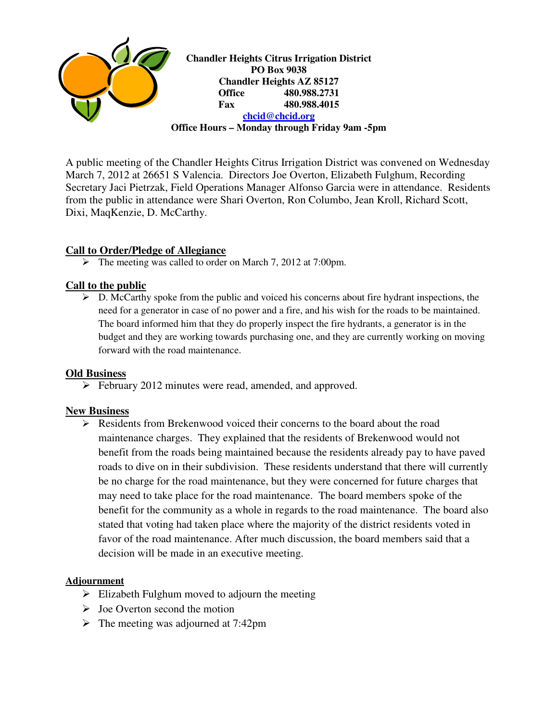

A public meeting of the Chandler Heights Citrus Irrigation District was convened on Wednesday March 7, 2012 at 26651 S Valencia. Directors Joe Overton, Elizabeth Fulghum, Recording Secretary Jaci Pietrzak, Field Operations Manager Alfonso Garcia were in attendance. Residents from the public in attendance were Shari Overton, Ron Columbo, Jean Kroll, Richard Scott, Dixi, MaqKenzie, D. McCarthy.

# **Call to Order/Pledge of Allegiance**

The meeting was called to order on March 7, 2012 at 7:00pm.

# **Call to the public**

 $\triangleright$  D. McCarthy spoke from the public and voiced his concerns about fire hydrant inspections, the need for a generator in case of no power and a fire, and his wish for the roads to be maintained. The board informed him that they do properly inspect the fire hydrants, a generator is in the budget and they are working towards purchasing one, and they are currently working on moving forward with the road maintenance.

## **Old Business**

February 2012 minutes were read, amended, and approved.

# **New Business**

 $\triangleright$  Residents from Brekenwood voiced their concerns to the board about the road maintenance charges. They explained that the residents of Brekenwood would not benefit from the roads being maintained because the residents already pay to have paved roads to dive on in their subdivision. These residents understand that there will currently be no charge for the road maintenance, but they were concerned for future charges that may need to take place for the road maintenance. The board members spoke of the benefit for the community as a whole in regards to the road maintenance. The board also stated that voting had taken place where the majority of the district residents voted in favor of the road maintenance. After much discussion, the board members said that a decision will be made in an executive meeting.

## **Adjournment**

- $\triangleright$  Elizabeth Fulghum moved to adjourn the meeting
- $\triangleright$  Joe Overton second the motion
- $\triangleright$  The meeting was adjourned at 7:42pm